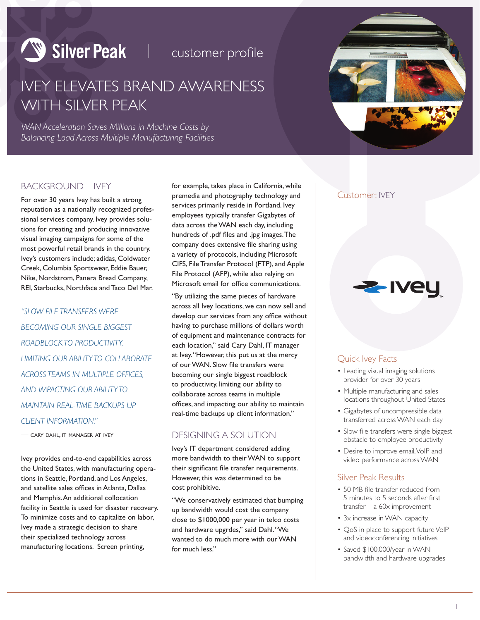# Silver Peak | Customer profile

## IVEY ELEVATES BRAND AWARENESS WITH SILVER PEAK

*WAN Acceleration Saves Millions in Machine Costs by Balancing Load Across Multiple Manufacturing Facilities*



### BACKGROUND – IVEY

For over 30 years Ivey has built a strong reputation as a nationally recognized professional services company. Ivey provides solutions for creating and producing innovative visual imaging campaigns for some of the most powerful retail brands in the country. Ivey's customers include; adidas, Coldwater Creek, Columbia Sportswear, Eddie Bauer, Nike, Nordstrom, Panera Bread Company, REI, Starbucks, Northface and Taco Del Mar.

*"SLOW FILE TRANSFERS WERE BECOMING OUR SINGLE BIGGEST ROADBLOCK TO PRODUCTIVITY, LIMITING OUR ABILITY TO COLLABORATE ACROSS TEAMS IN MULTIPLE OFFICES, AND IMPACTING OUR ABILITY TO MAINTAIN REAL-TIME BACKUPS UP CLIENT INFORMATION."*

— cary dahl, it manager at ivey

Ivey provides end-to-end capabilities across the United States, with manufacturing operations in Seattle, Portland, and Los Angeles, and satellite sales offices in Atlanta, Dallas and Memphis. An additional collocation facility in Seattle is used for disaster recovery. To minimize costs and to capitalize on labor, Ivey made a strategic decision to share their specialized technology across manufacturing locations. Screen printing,

for example, takes place in California, while premedia and photography technology and services primarily reside in Portland. Ivey employees typically transfer Gigabytes of data across the WAN each day, including hundreds of .pdf files and .jpg images. The company does extensive file sharing using a variety of protocols, including Microsoft CIFS, File Transfer Protocol (FTP), and Apple File Protocol (AFP), while also relying on Microsoft email for office communications.

"By utilizing the same pieces of hardware across all Ivey locations, we can now sell and develop our services from any office without having to purchase millions of dollars worth of equipment and maintenance contracts for each location," said Cary Dahl, IT manager at Ivey. "However, this put us at the mercy of our WAN. Slow file transfers were becoming our single biggest roadblock to productivity, limiting our ability to collaborate across teams in multiple offices, and impacting our ability to maintain real-time backups up client information."

#### DESIGNING A SOLUTION

Ivey's IT department considered adding more bandwidth to their WAN to support their significant file transfer requirements. However, this was determined to be cost prohibitive.

"We conservatively estimated that bumping up bandwidth would cost the company close to \$1000,000 per year in telco costs and hardware upgrdes," said Dahl. "We wanted to do much more with our WAN for much less."

#### Customer: IVEY

#### Quick Ivey Facts

• Leading visual imaging solutions provider for over 30 years

**2-Ivey** 

- Multiple manufacturing and sales locations throughout United States
- • Gigabytes of uncompressible data transferred across WAN each day
- Slow file transfers were single biggest obstacle to employee productivity
- Desire to improve email, VoIP and video performance across WAN

#### Silver Peak Results

- 50 MB file transfer reduced from 5 minutes to 5 seconds after first transfer – a 60x improvement
- 3x increase in WAN capacity
- QoS in place to support future VoIP and videoconferencing initiatives
- Saved \$100,000/year in WAN bandwidth and hardware upgrades